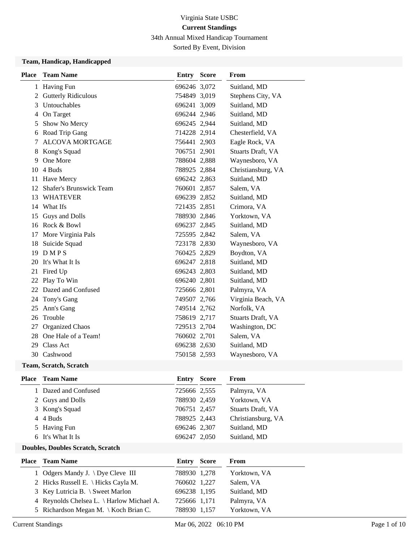34th Annual Mixed Handicap Tournament

Sorted By Event, Division

#### **Team, Handicap, Handicapped**

| <b>Place</b> | <b>Team Name</b>               | Entry        | <b>Score</b> | From               |
|--------------|--------------------------------|--------------|--------------|--------------------|
|              | 1 Having Fun                   | 696246 3,072 |              | Suitland, MD       |
| 2            | <b>Gutterly Ridiculous</b>     | 754849 3,019 |              | Stephens City, VA  |
| 3            | Untouchables                   | 696241 3,009 |              | Suitland, MD       |
| 4            | On Target                      | 696244 2,946 |              | Suitland, MD       |
| 5            | Show No Mercy                  | 696245 2,944 |              | Suitland, MD       |
| 6            | Road Trip Gang                 | 714228 2,914 |              | Chesterfield, VA   |
| 7            | <b>ALCOVA MORTGAGE</b>         | 756441 2,903 |              | Eagle Rock, VA     |
| 8            | Kong's Squad                   | 706751 2,901 |              | Stuarts Draft, VA  |
| 9            | One More                       | 788604 2,888 |              | Waynesboro, VA     |
| 10           | 4 Buds                         | 788925 2,884 |              | Christiansburg, VA |
| 11           | Have Mercy                     | 696242 2,863 |              | Suitland, MD       |
| 12           | <b>Shafer's Brunswick Team</b> | 760601 2,857 |              | Salem, VA          |
| 13           | <b>WHATEVER</b>                | 696239 2,852 |              | Suitland, MD       |
| 14           | What Ifs                       | 721435 2,851 |              | Crimora, VA        |
| 15           | Guys and Dolls                 | 788930 2,846 |              | Yorktown, VA       |
|              | 16 Rock & Bowl                 | 696237 2,845 |              | Suitland, MD       |
| 17           | More Virginia Pals             | 725595 2,842 |              | Salem, VA          |
| 18           | Suicide Squad                  | 723178 2,830 |              | Waynesboro, VA     |
|              | 19 DMPS                        | 760425 2,829 |              | Boydton, VA        |
| 20           | It's What It Is                | 696247 2,818 |              | Suitland, MD       |
| 21           | Fired Up                       | 696243 2,803 |              | Suitland, MD       |
|              | 22 Play To Win                 | 696240 2,801 |              | Suitland, MD       |
| 22           | Dazed and Confused             | 725666 2,801 |              | Palmyra, VA        |
| 24           | Tony's Gang                    | 749507 2,766 |              | Virginia Beach, VA |
| 25           | Ann's Gang                     | 749514 2,762 |              | Norfolk, VA        |
| 26           | Trouble                        | 758619 2,717 |              | Stuarts Draft, VA  |
| 27           | Organized Chaos                | 729513 2,704 |              | Washington, DC     |
| 28           | One Hale of a Team!            | 760602 2,701 |              | Salem, VA          |
| 29           | Class Act                      | 696238 2,630 |              | Suitland, MD       |
|              | 30 Cashwood                    | 750158 2,593 |              | Waynesboro, VA     |
|              |                                |              |              |                    |

### **Team, Scratch, Scratch**

| <b>Place</b> | <b>Team Name</b>   | Entry        | <b>Score</b> | <b>From</b>        |
|--------------|--------------------|--------------|--------------|--------------------|
|              | Dazed and Confused | 725666 2,555 |              | Palmyra, VA        |
|              | 2 Guys and Dolls   | 788930 2,459 |              | Yorktown, VA       |
|              | 3 Kong's Squad     | 706751 2,457 |              | Stuarts Draft, VA  |
|              | 4 4 Buds           | 788925 2,443 |              | Christiansburg, VA |
|              | 5 Having Fun       | 696246 2,307 |              | Suitland, MD       |
|              | 6 It's What It Is  | 696247 2.050 |              | Suitland, MD       |
|              |                    |              |              |                    |

### **Doubles, Doubles Scratch, Scratch**

| <b>Place</b> Team Name                    | <b>Entry Score</b> | From         |
|-------------------------------------------|--------------------|--------------|
| 1 Odgers Mandy J. $\Dve$ Cleve III        | 788930 1,278       | Yorktown, VA |
| 2 Hicks Russell E. \ Hicks Cayla M.       | 760602 1,227       | Salem, VA    |
| 3 Key Lutricia B. \ Sweet Marlon          | 696238 1,195       | Suitland, MD |
| 4 Reynolds Chelsea L. \ Harlow Michael A. | 725666 1,171       | Palmyra, VA  |
| 5 Richardson Megan M. \ Koch Brian C.     | 788930 1,157       | Yorktown, VA |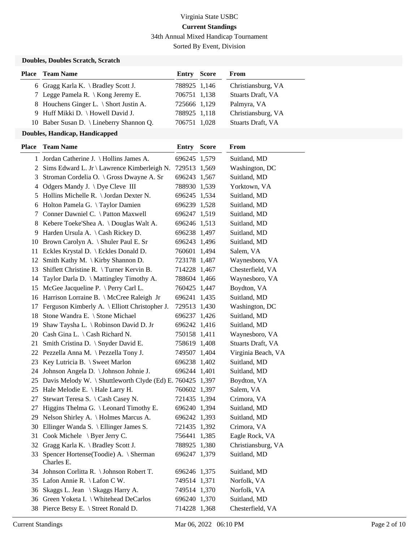34th Annual Mixed Handicap Tournament

Sorted By Event, Division

### **Doubles, Doubles Scratch, Scratch**

| <b>Place</b> Team Name                    | <b>Entry Score</b> | From               |
|-------------------------------------------|--------------------|--------------------|
| 6 Gragg Karla K. $\beta$ Bradley Scott J. | 788925 1,146       | Christiansburg, VA |
| 7 Legge Pamela R. \ Kong Jeremy E.        | 706751 1,138       | Stuarts Draft, VA  |
| 8 Houchens Ginger L. \ Short Justin A.    | 725666 1,129       | Palmyra, VA        |
| 9 Huff Mikki D. \ Howell David J.         | 788925 1,118       | Christiansburg, VA |
| 10 Baber Susan D. \ Lineberry Shannon Q.  | 706751 1,028       | Stuarts Draft, VA  |

#### **Doubles, Handicap, Handicapped**

| <b>Place</b> | <b>Team Name</b>                                             | Entry        | <b>Score</b> | From               |
|--------------|--------------------------------------------------------------|--------------|--------------|--------------------|
|              | 1 Jordan Catherine J. \ Hollins James A.                     | 696245 1,579 |              | Suitland, MD       |
|              | 2 Sims Edward L. Jr \ Lawrence Kimberleigh N.                | 729513 1,569 |              | Washington, DC     |
| 3            | Stroman Cordelia O. \ Gross Dwayne A. Sr                     | 696243 1,567 |              | Suitland, MD       |
| 4            | Odgers Mandy J. \ Dye Cleve III                              | 788930 1,539 |              | Yorktown, VA       |
| 5            | Hollins Michelle R. \ Jordan Dexter N.                       | 696245 1,534 |              | Suitland, MD       |
| 6            | Holton Pamela G. \Taylor Damien                              | 696239 1,528 |              | Suitland, MD       |
| 7            | Conner Dawniel C. \ Patton Maxwell                           | 696247 1,519 |              | Suitland, MD       |
| 8            | Kebere Toeke'Shea A. \ Douglas Walt A.                       | 696246 1,513 |              | Suitland, MD       |
|              | 9 Harden Ursula A. \Cash Rickey D.                           | 696238 1,497 |              | Suitland, MD       |
|              | 10 Brown Carolyn A. \ Shuler Paul E. Sr                      | 696243 1,496 |              | Suitland, MD       |
|              | 11 Eckles Krystal D. \ Eckles Donald D.                      | 760601 1,494 |              | Salem, VA          |
| 12           | Smith Kathy M. $\K$ irby Shannon D.                          | 723178 1,487 |              | Waynesboro, VA     |
| 13           | Shiflett Christine R. $\Upsilon$ Turner Kervin B.            | 714228 1,467 |              | Chesterfield, VA   |
| 14           | Taylor Darla D. \ Mattingley Timothy A.                      | 788604 1,466 |              | Waynesboro, VA     |
| 15           | McGee Jacqueline P. \ Perry Carl L.                          | 760425 1,447 |              | Boydton, VA        |
|              | 16 Harrison Lorraine B. \ McCree Raleigh Jr                  | 696241 1,435 |              | Suitland, MD       |
|              | 17 Ferguson Kimberly A. \ Elliott Christopher J.             | 729513 1,430 |              | Washington, DC     |
|              | 18 Stone Wandra E. \ Stone Michael                           | 696237 1,426 |              | Suitland, MD       |
| 19           | Shaw Taysha L. \ Robinson David D. Jr                        | 696242 1,416 |              | Suitland, MD       |
| 20           | Cash Gina L. \ Cash Richard N.                               | 750158 1,411 |              | Waynesboro, VA     |
| 21           | Smith Cristina D. \ Snyder David E.                          | 758619 1,408 |              | Stuarts Draft, VA  |
|              | 22 Pezzella Anna M. \Pezzella Tony J.                        | 749507 1,404 |              | Virginia Beach, VA |
| 23           | Key Lutricia B. \ Sweet Marlon                               | 696238 1,402 |              | Suitland, MD       |
| 24           | Johnson Angela D. \ Johnson Johnie J.                        | 696244 1,401 |              | Suitland, MD       |
|              | 25 Davis Melody W. \ Shuttleworth Clyde (Ed) E. 760425 1,397 |              |              | Boydton, VA        |
|              | 25 Hale Melodie E. \ Hale Larry H.                           | 760602 1,397 |              | Salem, VA          |
| 27           | Stewart Teresa S. \ Cash Casey N.                            | 721435 1,394 |              | Crimora, VA        |
| 27           | Higgins Thelma G. $\text{Leonard}$ Timothy E.                | 696240 1,394 |              | Suitland, MD       |
|              | 29 Nelson Shirley A. \ Holmes Marcus A.                      | 696242 1,393 |              | Suitland, MD       |
| 30           | Ellinger Wanda S. $\setminus$ Ellinger James S.              | 721435 1,392 |              | Crimora, VA        |
| 31           | Cook Michele $\setminus$ Byer Jerry C.                       | 756441 1,385 |              | Eagle Rock, VA     |
|              | 32 Gragg Karla K. \ Bradley Scott J.                         | 788925 1,380 |              | Christiansburg, VA |
|              | 33 Spencer Hortense(Toodie) A. \ Sherman<br>Charles E.       | 696247 1,379 |              | Suitland, MD       |
|              | 34 Johnson Corlitta R. \ Johnson Robert T.                   | 696246 1,375 |              | Suitland, MD       |
|              | 35 Lafon Annie R. \ Lafon C W.                               | 749514 1,371 |              | Norfolk, VA        |
| 36           | Skaggs L. Jean \ Skaggs Harry A.                             | 749514 1,370 |              | Norfolk, VA        |
|              | 36 Green Yoketa I. \ Whitehead DeCarlos                      | 696240 1,370 |              | Suitland, MD       |
|              | 38 Pierce Betsy E. \ Street Ronald D.                        | 714228 1,368 |              | Chesterfield, VA   |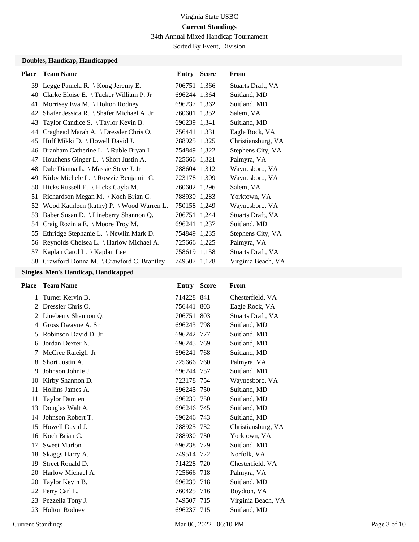34th Annual Mixed Handicap Tournament

Sorted By Event, Division

### **Doubles, Handicap, Handicapped**

| <b>Place</b> | <b>Team Name</b>                                        | Entry        | <b>Score</b> | From               |
|--------------|---------------------------------------------------------|--------------|--------------|--------------------|
|              | 39 Legge Pamela R. \ Kong Jeremy E.                     | 706751 1,366 |              | Stuarts Draft, VA  |
| 40           | Clarke Eloise E. \Tucker William P. Jr                  | 696244 1,364 |              | Suitland, MD       |
| 41           | Morrisey Eva M. \ Holton Rodney                         | 696237 1,362 |              | Suitland, MD       |
| 42           | Shafer Jessica R. $\setminus$ Shafer Michael A. Jr      | 760601 1,352 |              | Salem, VA          |
| 43           | Taylor Candice S. $\setminus$ Taylor Kevin B.           | 696239 1,341 |              | Suitland, MD       |
| 44           | Craghead Marah A. \ Dressler Chris O.                   | 756441 1,331 |              | Eagle Rock, VA     |
| 45           | Huff Mikki D. \ Howell David J.                         | 788925 1,325 |              | Christiansburg, VA |
| 46           | Branham Catherine L. \ Ruble Bryan L.                   | 754849 1,322 |              | Stephens City, VA  |
| 47           | Houchens Ginger L. \ Short Justin A.                    | 725666 1,321 |              | Palmyra, VA        |
| 48           | Dale Dianna L. \ Massie Steve J. Jr                     | 788604 1,312 |              | Waynesboro, VA     |
| 49           | Kirby Michele L. $\setminus$ Rowzie Benjamin C.         | 723178 1,309 |              | Waynesboro, VA     |
| 50           | Hicks Russell E. \ Hicks Cayla M.                       | 760602 1,296 |              | Salem, VA          |
| 51           | Richardson Megan M. \ Koch Brian C.                     | 788930 1,283 |              | Yorktown, VA       |
| 52           | Wood Kathleen (kathy) $P \sim W$ ood Warren L.          | 750158 1,249 |              | Waynesboro, VA     |
| 53           | Baber Susan D. \ Lineberry Shannon Q.                   | 706751 1,244 |              | Stuarts Draft, VA  |
| 54           | Craig Rozinia E. \ Moore Troy M.                        | 696241       | 1,237        | Suitland, MD       |
| 55           | Ethridge Stephanie L. \ Newlin Mark D.                  | 754849 1,235 |              | Stephens City, VA  |
| 56           | Reynolds Chelsea L. \ Harlow Michael A.                 | 725666 1,225 |              | Palmyra, VA        |
| 57           | Kaplan Carol L. \ Kaplan Lee                            | 758619 1,158 |              | Stuarts Draft, VA  |
| 58           | Crawford Donna M. $\operatorname{Crawford}$ C. Brantley | 749507 1,128 |              | Virginia Beach, VA |

### **Singles, Men's Handicap, Handicapped**

| <b>Place</b> | <b>Team Name</b>     | Entry      | <b>Score</b> | <b>From</b>              |
|--------------|----------------------|------------|--------------|--------------------------|
| 1            | Turner Kervin B.     | 714228 841 |              | Chesterfield, VA         |
| 2            | Dressler Chris O.    | 756441 803 |              | Eagle Rock, VA           |
| 2            | Lineberry Shannon Q. | 706751 803 |              | <b>Stuarts Draft, VA</b> |
| 4            | Gross Dwayne A. Sr   | 696243 798 |              | Suitland, MD             |
| 5            | Robinson David D. Jr | 696242 777 |              | Suitland, MD             |
| 6            | Jordan Dexter N.     | 696245 769 |              | Suitland, MD             |
| 7            | McCree Raleigh Jr    | 696241 768 |              | Suitland, MD             |
| 8            | Short Justin A.      | 725666 760 |              | Palmyra, VA              |
| 9            | Johnson Johnie J.    | 696244 757 |              | Suitland, MD             |
| 10           | Kirby Shannon D.     | 723178 754 |              | Waynesboro, VA           |
| 11           | Hollins James A.     | 696245 750 |              | Suitland, MD             |
| 11           | <b>Taylor Damien</b> | 696239 750 |              | Suitland, MD             |
| 13           | Douglas Walt A.      | 696246 745 |              | Suitland, MD             |
| 14           | Johnson Robert T.    | 696246 743 |              | Suitland, MD             |
| 15           | Howell David J.      | 788925 732 |              | Christiansburg, VA       |
| 16           | Koch Brian C.        | 788930 730 |              | Yorktown, VA             |
| 17           | <b>Sweet Marlon</b>  | 696238 729 |              | Suitland, MD             |
| 18           | Skaggs Harry A.      | 749514 722 |              | Norfolk, VA              |
| 19           | Street Ronald D.     | 714228 720 |              | Chesterfield, VA         |
| 20           | Harlow Michael A.    | 725666 718 |              | Palmyra, VA              |
| 20           | Taylor Kevin B.      | 696239 718 |              | Suitland, MD             |
| 22           | Perry Carl L.        | 760425 716 |              | Boydton, VA              |
| 23           | Pezzella Tony J.     | 749507 715 |              | Virginia Beach, VA       |
| 23           | Holton Rodney        | 696237 715 |              | Suitland, MD             |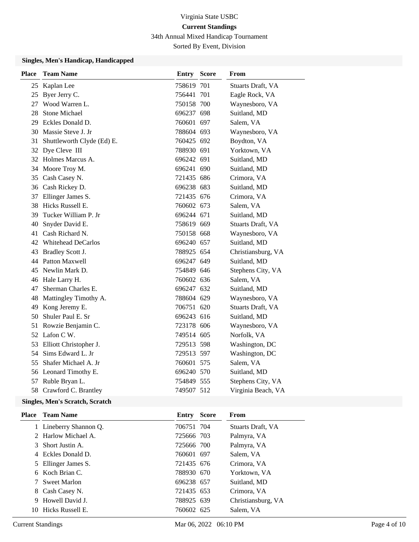34th Annual Mixed Handicap Tournament

Sorted By Event, Division

#### **Singles, Men's Handicap, Handicapped**

| <b>Place</b> | <b>Team Name</b>           | <b>Entry Score</b> | From               |
|--------------|----------------------------|--------------------|--------------------|
|              | 25 Kaplan Lee              | 758619 701         | Stuarts Draft, VA  |
|              | 25 Byer Jerry C.           | 756441 701         | Eagle Rock, VA     |
|              | 27 Wood Warren L.          | 750158 700         | Waynesboro, VA     |
| 28           | <b>Stone Michael</b>       | 696237 698         | Suitland, MD       |
|              | 29 Eckles Donald D.        | 760601 697         | Salem, VA          |
|              | 30 Massie Steve J. Jr      | 788604 693         | Waynesboro, VA     |
| 31           | Shuttleworth Clyde (Ed) E. | 760425 692         | Boydton, VA        |
|              | 32 Dye Cleve III           | 788930 691         | Yorktown, VA       |
|              | 32 Holmes Marcus A.        | 696242 691         | Suitland, MD       |
|              | 34 Moore Troy M.           | 696241 690         | Suitland, MD       |
|              | 35 Cash Casey N.           | 721435 686         | Crimora, VA        |
|              | 36 Cash Rickey D.          | 696238 683         | Suitland, MD       |
| 37           | Ellinger James S.          | 721435 676         | Crimora, VA        |
| 38           | Hicks Russell E.           | 760602 673         | Salem, VA          |
| 39           | Tucker William P. Jr       | 696244 671         | Suitland, MD       |
| 40           | Snyder David E.            | 758619 669         | Stuarts Draft, VA  |
| 41           | Cash Richard N.            | 750158 668         | Waynesboro, VA     |
|              | 42 Whitehead DeCarlos      | 696240 657         | Suitland, MD       |
| 43           | Bradley Scott J.           | 788925 654         | Christiansburg, VA |
|              | 44 Patton Maxwell          | 696247 649         | Suitland, MD       |
| 45           | Newlin Mark D.             | 754849 646         | Stephens City, VA  |
|              | 46 Hale Larry H.           | 760602 636         | Salem, VA          |
| 47           | Sherman Charles E.         | 696247 632         | Suitland, MD       |
| 48           | Mattingley Timothy A.      | 788604 629         | Waynesboro, VA     |
| 49           | Kong Jeremy E.             | 706751 620         | Stuarts Draft, VA  |
| 50           | Shuler Paul E. Sr          | 696243 616         | Suitland, MD       |
| 51           | Rowzie Benjamin C.         | 723178 606         | Waynesboro, VA     |
|              | 52 Lafon C W.              | 749514 605         | Norfolk, VA        |
|              | 53 Elliott Christopher J.  | 729513 598         | Washington, DC     |
| 54           | Sims Edward L. Jr          | 729513 597         | Washington, DC     |
| 55           | Shafer Michael A. Jr       | 760601 575         | Salem, VA          |
|              | 56 Leonard Timothy E.      | 696240 570         | Suitland, MD       |
|              | 57 Ruble Bryan L.          | 754849 555         | Stephens City, VA  |
|              | 58 Crawford C. Brantley    | 749507 512         | Virginia Beach, VA |

### **Singles, Men's Scratch, Scratch**

|    | <b>Place</b> Team Name | Entry      | Score | From               |
|----|------------------------|------------|-------|--------------------|
|    | 1 Lineberry Shannon Q. | 706751 704 |       | Stuarts Draft, VA  |
|    | 2 Harlow Michael A.    | 725666 703 |       | Palmyra, VA        |
|    | 3 Short Justin A.      | 725666 700 |       | Palmyra, VA        |
|    | 4 Eckles Donald D.     | 760601 697 |       | Salem, VA          |
|    | 5 Ellinger James S.    | 721435 676 |       | Crimora, VA        |
|    | 6 Koch Brian C.        | 788930 670 |       | Yorktown, VA       |
|    | Sweet Marlon           | 696238 657 |       | Suitland, MD       |
|    | 8 Cash Casey N.        | 721435 653 |       | Crimora, VA        |
|    | 9 Howell David J.      | 788925 639 |       | Christiansburg, VA |
| 10 | Hicks Russell E.       | 760602 625 |       | Salem, VA          |
|    |                        |            |       |                    |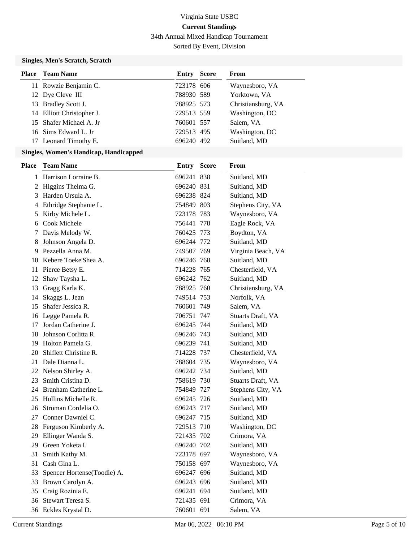34th Annual Mixed Handicap Tournament

Sorted By Event, Division

### **Singles, Men's Scratch, Scratch**

| Entry                                                                                                                                                                                               | From                                                                                                           |
|-----------------------------------------------------------------------------------------------------------------------------------------------------------------------------------------------------|----------------------------------------------------------------------------------------------------------------|
|                                                                                                                                                                                                     | Waynesboro, VA                                                                                                 |
|                                                                                                                                                                                                     | Yorktown, VA                                                                                                   |
|                                                                                                                                                                                                     | Christiansburg, VA                                                                                             |
|                                                                                                                                                                                                     | Washington, DC                                                                                                 |
|                                                                                                                                                                                                     | Salem, VA                                                                                                      |
|                                                                                                                                                                                                     | Washington, DC                                                                                                 |
|                                                                                                                                                                                                     | Suitland, MD                                                                                                   |
| <b>Place</b> Team Name<br>11 Rowzie Benjamin C.<br>12 Dye Cleve III<br>13 Bradley Scott J.<br>14 Elliott Christopher J.<br>15 Shafer Michael A. Jr<br>16 Sims Edward L. Jr<br>17 Leonard Timothy E. | <b>Score</b><br>723178 606<br>788930 589<br>788925 573<br>729513 559<br>760601 557<br>729513 495<br>696240 492 |

### **Singles, Women's Handicap, Handicapped**

| <b>Place</b> | <b>Team Name</b>            | <b>Entry</b> | <b>Score</b> | From               |
|--------------|-----------------------------|--------------|--------------|--------------------|
| 1            | Harrison Lorraine B.        | 696241 838   |              | Suitland, MD       |
| 2            | Higgins Thelma G.           | 696240 831   |              | Suitland, MD       |
| 3            | Harden Ursula A.            | 696238 824   |              | Suitland, MD       |
| 4            | Ethridge Stephanie L.       | 754849 803   |              | Stephens City, VA  |
| 5            | Kirby Michele L.            | 723178 783   |              | Waynesboro, VA     |
| 6            | Cook Michele                | 756441 778   |              | Eagle Rock, VA     |
| 7            | Davis Melody W.             | 760425 773   |              | Boydton, VA        |
| 8            | Johnson Angela D.           | 696244 772   |              | Suitland, MD       |
| 9            | Pezzella Anna M.            | 749507 769   |              | Virginia Beach, VA |
|              | 10 Kebere Toeke'Shea A.     | 696246 768   |              | Suitland, MD       |
|              | 11 Pierce Betsy E.          | 714228 765   |              | Chesterfield, VA   |
| 12           | Shaw Taysha L.              | 696242 762   |              | Suitland, MD       |
| 13           | Gragg Karla K.              | 788925 760   |              | Christiansburg, VA |
| 14           | Skaggs L. Jean              | 749514 753   |              | Norfolk, VA        |
| 15           | Shafer Jessica R.           | 760601 749   |              | Salem, VA          |
|              | 16 Legge Pamela R.          | 706751 747   |              | Stuarts Draft, VA  |
| 17           | Jordan Catherine J.         | 696245 744   |              | Suitland, MD       |
| 18           | Johnson Corlitta R.         | 696246 743   |              | Suitland, MD       |
|              | 19 Holton Pamela G.         | 696239 741   |              | Suitland, MD       |
| 20           | Shiflett Christine R.       | 714228 737   |              | Chesterfield, VA   |
|              | 21 Dale Dianna L.           | 788604 735   |              | Waynesboro, VA     |
|              | 22 Nelson Shirley A.        | 696242 734   |              | Suitland, MD       |
| 23           | Smith Cristina D.           | 758619 730   |              | Stuarts Draft, VA  |
|              | 24 Branham Catherine L.     | 754849 727   |              | Stephens City, VA  |
|              | 25 Hollins Michelle R.      | 696245 726   |              | Suitland, MD       |
|              | 26 Stroman Cordelia O.      | 696243 717   |              | Suitland, MD       |
| 27           | Conner Dawniel C.           | 696247 715   |              | Suitland, MD       |
|              | 28 Ferguson Kimberly A.     | 729513 710   |              | Washington, DC     |
|              | 29 Ellinger Wanda S.        | 721435 702   |              | Crimora, VA        |
|              | 29 Green Yoketa I.          | 696240 702   |              | Suitland, MD       |
| 31           | Smith Kathy M.              | 723178 697   |              | Waynesboro, VA     |
| 31           | Cash Gina L.                | 750158 697   |              | Waynesboro, VA     |
| 33           | Spencer Hortense(Toodie) A. | 696247 696   |              | Suitland, MD       |
|              | 33 Brown Carolyn A.         | 696243 696   |              | Suitland, MD       |
| 35           | Craig Rozinia E.            | 696241 694   |              | Suitland, MD       |
| 36           | Stewart Teresa S.           | 721435 691   |              | Crimora, VA        |
|              | 36 Eckles Krystal D.        | 760601 691   |              | Salem, VA          |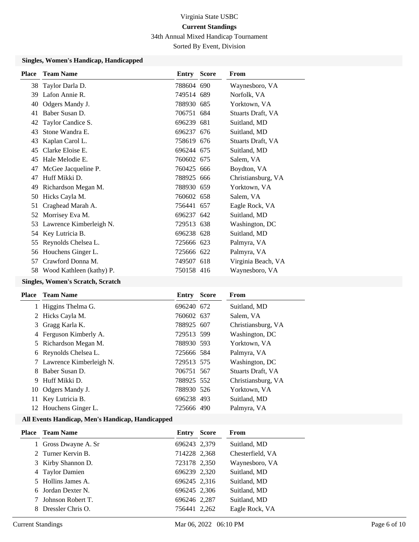34th Annual Mixed Handicap Tournament

Sorted By Event, Division

#### **Singles, Women's Handicap, Handicapped**

|                          | Entry                                                                          | <b>Score</b> | From                                                                                                                                                                                                                                                                                       |
|--------------------------|--------------------------------------------------------------------------------|--------------|--------------------------------------------------------------------------------------------------------------------------------------------------------------------------------------------------------------------------------------------------------------------------------------------|
|                          |                                                                                |              | Waynesboro, VA                                                                                                                                                                                                                                                                             |
|                          |                                                                                |              | Norfolk, VA                                                                                                                                                                                                                                                                                |
| Odgers Mandy J.          |                                                                                | 685          | Yorktown, VA                                                                                                                                                                                                                                                                               |
| Baber Susan D.           |                                                                                |              | Stuarts Draft, VA                                                                                                                                                                                                                                                                          |
| Taylor Candice S.        |                                                                                | 681          | Suitland, MD                                                                                                                                                                                                                                                                               |
| Stone Wandra E.          |                                                                                |              | Suitland, MD                                                                                                                                                                                                                                                                               |
| Kaplan Carol L.          |                                                                                |              | Stuarts Draft, VA                                                                                                                                                                                                                                                                          |
| Clarke Eloise E.         |                                                                                |              | Suitland, MD                                                                                                                                                                                                                                                                               |
| Hale Melodie E.          |                                                                                |              | Salem, VA                                                                                                                                                                                                                                                                                  |
| McGee Jacqueline P.      |                                                                                |              | Boydton, VA                                                                                                                                                                                                                                                                                |
| Huff Mikki D.            |                                                                                |              | Christiansburg, VA                                                                                                                                                                                                                                                                         |
| Richardson Megan M.      |                                                                                |              | Yorktown, VA                                                                                                                                                                                                                                                                               |
| Hicks Cayla M.           |                                                                                |              | Salem, VA                                                                                                                                                                                                                                                                                  |
| Craghead Marah A.        |                                                                                |              | Eagle Rock, VA                                                                                                                                                                                                                                                                             |
| Morrisey Eva M.          |                                                                                |              | Suitland, MD                                                                                                                                                                                                                                                                               |
| Lawrence Kimberleigh N.  |                                                                                |              | Washington, DC                                                                                                                                                                                                                                                                             |
| Key Lutricia B.          |                                                                                |              | Suitland, MD                                                                                                                                                                                                                                                                               |
| Reynolds Chelsea L.      |                                                                                |              | Palmyra, VA                                                                                                                                                                                                                                                                                |
|                          |                                                                                |              | Palmyra, VA                                                                                                                                                                                                                                                                                |
| Crawford Donna M.        |                                                                                |              | Virginia Beach, VA                                                                                                                                                                                                                                                                         |
| Wood Kathleen (kathy) P. |                                                                                |              | Waynesboro, VA                                                                                                                                                                                                                                                                             |
|                          | <b>Team Name</b><br>Taylor Darla D.<br>Lafon Annie R.<br>56 Houchens Ginger L. |              | 788604 690<br>749514 689<br>788930<br>706751 684<br>696239<br>696237 676<br>758619 676<br>696244 675<br>760602 675<br>760425 666<br>788925 666<br>788930 659<br>760602 658<br>756441 657<br>696237 642<br>729513 638<br>696238 628<br>725666 623<br>725666 622<br>749507 618<br>750158 416 |

### **Singles, Women's Scratch, Scratch**

| Place | <b>Team Name</b>          | Entry      | <b>Score</b> | From                     |
|-------|---------------------------|------------|--------------|--------------------------|
|       | 1 Higgins Thelma G.       | 696240 672 |              | Suitland, MD             |
|       | 2 Hicks Cayla M.          | 760602 637 |              | Salem, VA                |
|       | 3 Gragg Karla K.          | 788925 607 |              | Christiansburg, VA       |
| 4     | Ferguson Kimberly A.      | 729513 599 |              | Washington, DC           |
|       | 5 Richardson Megan M.     | 788930 593 |              | Yorktown, VA             |
|       | 6 Reynolds Chelsea L.     | 725666 584 |              | Palmyra, VA              |
|       | 7 Lawrence Kimberleigh N. | 729513 575 |              | Washington, DC           |
|       | Baber Susan D.            | 706751 567 |              | <b>Stuarts Draft, VA</b> |
| 9     | Huff Mikki D.             | 788925 552 |              | Christiansburg, VA       |
|       | 10 Odgers Mandy J.        | 788930 526 |              | Yorktown, VA             |
| 11.   | Key Lutricia B.           | 696238 493 |              | Suitland, MD             |
|       | 12 Houchens Ginger L.     | 725666 490 |              | Palmyra, VA              |

#### **All Events Handicap, Men's Handicap, Handicapped**

| Place Team Name      | Entry        | <b>Score</b> | From             |
|----------------------|--------------|--------------|------------------|
| 1 Gross Dwayne A. Sr | 696243 2,379 |              | Suitland, MD     |
| 2 Turner Kervin B.   | 714228 2,368 |              | Chesterfield, VA |
| 3 Kirby Shannon D.   | 723178 2,350 |              | Waynesboro, VA   |
| 4 Taylor Damien      | 696239 2,320 |              | Suitland, MD     |
| 5 Hollins James A.   | 696245 2,316 |              | Suitland, MD     |
| 6 Jordan Dexter N.   | 696245 2,306 |              | Suitland, MD     |
| 7 Johnson Robert T.  | 696246 2,287 |              | Suitland, MD     |
| 8 Dressler Chris O.  | 756441 2.262 |              | Eagle Rock, VA   |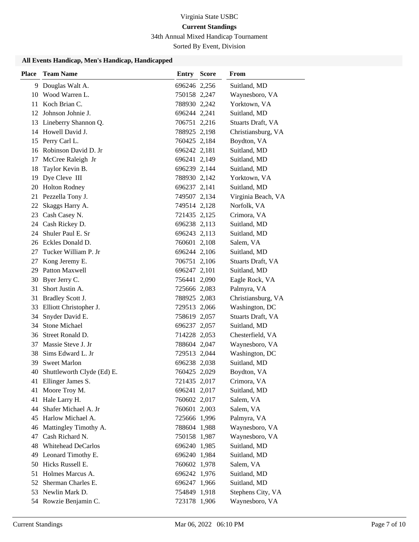34th Annual Mixed Handicap Tournament

Sorted By Event, Division

### **All Events Handicap, Men's Handicap, Handicapped**

| <b>Place</b> | <b>Team Name</b>           | <b>Entry Score</b> | <b>From</b>        |
|--------------|----------------------------|--------------------|--------------------|
| 9.           | Douglas Walt A.            | 696246 2,256       | Suitland, MD       |
| 10           | Wood Warren L.             | 750158 2,247       | Waynesboro, VA     |
|              | 11 Koch Brian C.           | 788930 2,242       | Yorktown, VA       |
| 12           | Johnson Johnie J.          | 696244 2,241       | Suitland, MD       |
| 13           | Lineberry Shannon Q.       | 706751 2,216       | Stuarts Draft, VA  |
|              | 14 Howell David J.         | 788925 2,198       | Christiansburg, VA |
|              | 15 Perry Carl L.           | 760425 2,184       | Boydton, VA        |
| 16           | Robinson David D. Jr       | 696242 2,181       | Suitland, MD       |
| 17           | McCree Raleigh Jr          | 696241 2,149       | Suitland, MD       |
| 18           | Taylor Kevin B.            | 696239 2,144       | Suitland, MD       |
| 19           | Dye Cleve III              | 788930 2,142       | Yorktown, VA       |
| 20           | <b>Holton Rodney</b>       | 696237 2,141       | Suitland, MD       |
|              | 21 Pezzella Tony J.        | 749507 2,134       | Virginia Beach, VA |
|              | 22 Skaggs Harry A.         | 749514 2,128       | Norfolk, VA        |
|              | 23 Cash Casey N.           | 721435 2,125       | Crimora, VA        |
|              | 24 Cash Rickey D.          | 696238 2,113       | Suitland, MD       |
| 24           | Shuler Paul E. Sr          | 696243 2,113       | Suitland, MD       |
|              | 26 Eckles Donald D.        | 760601 2,108       | Salem, VA          |
| 27           | Tucker William P. Jr       | 696244 2,106       | Suitland, MD       |
| 27           | Kong Jeremy E.             | 706751 2,106       | Stuarts Draft, VA  |
| 29           | Patton Maxwell             | 696247 2,101       | Suitland, MD       |
| 30           | Byer Jerry C.              | 756441 2,090       | Eagle Rock, VA     |
| 31           | Short Justin A.            | 725666 2,083       | Palmyra, VA        |
| 31           | Bradley Scott J.           | 788925 2,083       | Christiansburg, VA |
| 33           | Elliott Christopher J.     | 729513 2,066       | Washington, DC     |
| 34           | Snyder David E.            | 758619 2,057       | Stuarts Draft, VA  |
|              | 34 Stone Michael           | 696237 2,057       | Suitland, MD       |
| 36           | Street Ronald D.           | 714228 2,053       | Chesterfield, VA   |
| 37           | Massie Steve J. Jr         | 788604 2,047       | Waynesboro, VA     |
| 38           | Sims Edward L. Jr          | 729513 2,044       | Washington, DC     |
|              | 39 Sweet Marlon            | 696238 2,038       | Suitland, MD       |
| 40           | Shuttleworth Clyde (Ed) E. | 760425 2,029       | Boydton, VA        |
|              | 41 Ellinger James S.       | 721435 2,017       | Crimora, VA        |
| 41           | Moore Troy M.              | 696241 2,017       | Suitland, MD       |
| 41           | Hale Larry H.              | 760602 2,017       | Salem, VA          |
| 44           | Shafer Michael A. Jr       | 760601 2,003       | Salem, VA          |
| 45           | Harlow Michael A.          | 725666 1,996       | Palmyra, VA        |
| 46           | Mattingley Timothy A.      | 788604 1,988       | Waynesboro, VA     |
| 47           | Cash Richard N.            | 750158 1,987       | Waynesboro, VA     |
| 48           | <b>Whitehead DeCarlos</b>  | 696240 1,985       | Suitland, MD       |
| 49           | Leonard Timothy E.         | 696240 1,984       | Suitland, MD       |
| 50           | Hicks Russell E.           | 760602 1,978       | Salem, VA          |
|              | 51 Holmes Marcus A.        | 696242 1,976       | Suitland, MD       |
| 52           | Sherman Charles E.         | 696247 1,966       | Suitland, MD       |
| 53           | Newlin Mark D.             | 754849 1,918       | Stephens City, VA  |
|              | 54 Rowzie Benjamin C.      | 723178 1,906       | Waynesboro, VA     |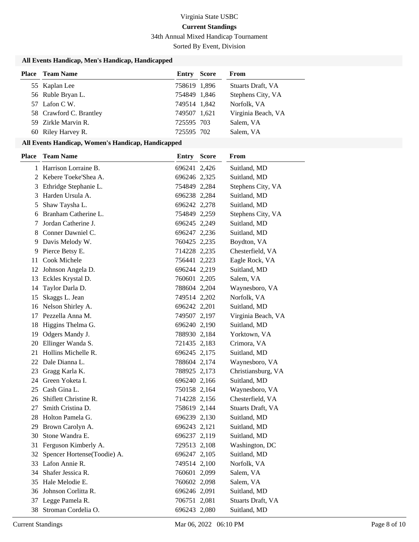34th Annual Mixed Handicap Tournament

Sorted By Event, Division

### **All Events Handicap, Men's Handicap, Handicapped**

| <b>Place</b> Team Name  | Entry        | <b>Score</b> | From               |
|-------------------------|--------------|--------------|--------------------|
| 55 Kaplan Lee           | 758619 1,896 |              | Stuarts Draft, VA  |
| 56 Ruble Bryan L.       | 754849 1,846 |              | Stephens City, VA  |
| 57 Lafon C W.           | 749514 1,842 |              | Norfolk, VA        |
| 58 Crawford C. Brantley | 749507 1,621 |              | Virginia Beach, VA |
| 59 Zirkle Marvin R.     | 725595 703   |              | Salem, VA          |
| 60 Riley Harvey R.      | 725595 702   |              | Salem, VA          |

#### **All Events Handicap, Women's Handicap, Handicapped**

| <b>Place</b> | <b>Team Name</b>             | Entry        | <b>Score</b> | From               |
|--------------|------------------------------|--------------|--------------|--------------------|
|              | 1 Harrison Lorraine B.       | 696241 2,426 |              | Suitland, MD       |
|              | 2 Kebere Toeke'Shea A.       | 696246 2,325 |              | Suitland, MD       |
|              | 3 Ethridge Stephanie L.      | 754849 2,284 |              | Stephens City, VA  |
| 3            | Harden Ursula A.             | 696238 2,284 |              | Suitland, MD       |
| 5            | Shaw Taysha L.               | 696242 2,278 |              | Suitland, MD       |
| 6            | Branham Catherine L.         | 754849 2,259 |              | Stephens City, VA  |
| 7            | Jordan Catherine J.          | 696245 2,249 |              | Suitland, MD       |
|              | 8 Conner Dawniel C.          | 696247 2,236 |              | Suitland, MD       |
| 9            | Davis Melody W.              | 760425 2,235 |              | Boydton, VA        |
| 9            | Pierce Betsy E.              | 714228 2,235 |              | Chesterfield, VA   |
|              | 11 Cook Michele              | 756441 2,223 |              | Eagle Rock, VA     |
|              | 12 Johnson Angela D.         | 696244 2,219 |              | Suitland, MD       |
|              | 13 Eckles Krystal D.         | 760601 2,205 |              | Salem, VA          |
| 14           | Taylor Darla D.              | 788604 2,204 |              | Waynesboro, VA     |
| 15           | Skaggs L. Jean               | 749514 2,202 |              | Norfolk, VA        |
| 16           | Nelson Shirley A.            | 696242 2,201 |              | Suitland, MD       |
| 17           | Pezzella Anna M.             | 749507 2,197 |              | Virginia Beach, VA |
| 18           | Higgins Thelma G.            | 696240 2,190 |              | Suitland, MD       |
|              | 19 Odgers Mandy J.           | 788930 2,184 |              | Yorktown, VA       |
| 20           | Ellinger Wanda S.            | 721435 2,183 |              | Crimora, VA        |
| 21           | Hollins Michelle R.          | 696245 2,175 |              | Suitland, MD       |
|              | 22 Dale Dianna L.            | 788604 2,174 |              | Waynesboro, VA     |
|              | 23 Gragg Karla K.            | 788925 2,173 |              | Christiansburg, VA |
|              | 24 Green Yoketa I.           | 696240 2,166 |              | Suitland, MD       |
| 25           | Cash Gina L.                 | 750158 2,164 |              | Waynesboro, VA     |
| 26           | Shiflett Christine R.        | 714228 2,156 |              | Chesterfield, VA   |
| 27           | Smith Cristina D.            | 758619 2,144 |              | Stuarts Draft, VA  |
| 28           | Holton Pamela G.             | 696239 2,130 |              | Suitland, MD       |
| 29           | Brown Carolyn A.             | 696243 2,121 |              | Suitland, MD       |
| 30           | Stone Wandra E.              | 696237 2,119 |              | Suitland, MD       |
| 31           | Ferguson Kimberly A.         | 729513 2,108 |              | Washington, DC     |
| 32           | Spencer Hortense (Toodie) A. | 696247 2,105 |              | Suitland, MD       |
|              | 33 Lafon Annie R.            | 749514 2,100 |              | Norfolk, VA        |
| 34           | Shafer Jessica R.            | 760601 2,099 |              | Salem, VA          |
| 35           | Hale Melodie E.              | 760602 2,098 |              | Salem, VA          |
| 36           | Johnson Corlitta R.          | 696246 2,091 |              | Suitland, MD       |
| 37           | Legge Pamela R.              | 706751 2,081 |              | Stuarts Draft, VA  |
|              | 38 Stroman Cordelia O.       | 696243 2,080 |              | Suitland, MD       |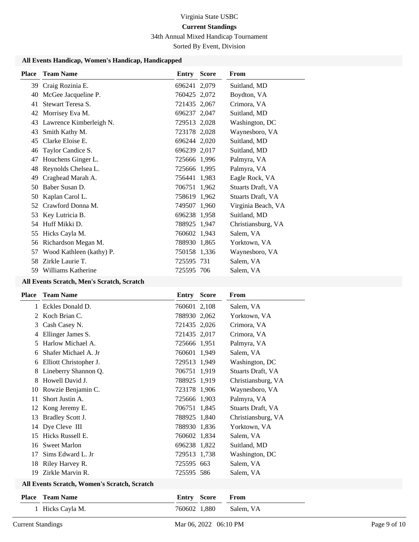34th Annual Mixed Handicap Tournament

Sorted By Event, Division

### **All Events Handicap, Women's Handicap, Handicapped**

| <b>Place</b> | <b>Team Name</b>         | Entry        | <b>Score</b> | From               |
|--------------|--------------------------|--------------|--------------|--------------------|
| 39           | Craig Rozinia E.         | 696241 2,079 |              | Suitland, MD       |
| 40           | McGee Jacqueline P.      | 760425 2,072 |              | Boydton, VA        |
| 41           | Stewart Teresa S.        | 721435 2,067 |              | Crimora, VA        |
| 42           | Morrisey Eva M.          | 696237 2,047 |              | Suitland, MD       |
| 43           | Lawrence Kimberleigh N.  | 729513 2,028 |              | Washington, DC     |
| 43           | Smith Kathy M.           | 723178 2,028 |              | Waynesboro, VA     |
| 45           | Clarke Eloise E.         | 696244 2,020 |              | Suitland, MD       |
| 46           | Taylor Candice S.        | 696239 2,017 |              | Suitland, MD       |
| 47           | Houchens Ginger L.       | 725666 1,996 |              | Palmyra, VA        |
| 48           | Reynolds Chelsea L.      | 725666 1,995 |              | Palmyra, VA        |
| 49           | Craghead Marah A.        | 756441 1,983 |              | Eagle Rock, VA     |
| 50           | Baber Susan D.           | 706751 1,962 |              | Stuarts Draft, VA  |
| 50           | Kaplan Carol L.          | 758619 1,962 |              | Stuarts Draft, VA  |
| 52           | Crawford Donna M.        | 749507 1,960 |              | Virginia Beach, VA |
| 53           | Key Lutricia B.          | 696238 1,958 |              | Suitland, MD       |
| 54           | Huff Mikki D.            | 788925 1,947 |              | Christiansburg, VA |
| 55           | Hicks Cayla M.           | 760602 1,943 |              | Salem, VA          |
| 56           | Richardson Megan M.      | 788930 1,865 |              | Yorktown, VA       |
| 57           | Wood Kathleen (kathy) P. | 750158 1,336 |              | Waynesboro, VA     |
| 58           | Zirkle Laurie T.         | 725595 731   |              | Salem, VA          |
| 59           | Williams Katherine       | 725595 706   |              | Salem, VA          |
|              |                          |              |              |                    |

### **All Events Scratch, Men's Scratch, Scratch**

| Place         | <b>Team Name</b>                             | Entry        | <b>Score</b> | From               |
|---------------|----------------------------------------------|--------------|--------------|--------------------|
| 1             | Eckles Donald D.                             | 760601 2,108 |              | Salem, VA          |
| 2             | Koch Brian C.                                | 788930 2,062 |              | Yorktown, VA       |
| 3             | Cash Casey N.                                | 721435 2,026 |              | Crimora, VA        |
| 4             | Ellinger James S.                            | 721435 2,017 |              | Crimora, VA        |
| $\mathcal{L}$ | Harlow Michael A.                            | 725666 1,951 |              | Palmyra, VA        |
| 6             | Shafer Michael A. Jr                         | 760601 1,949 |              | Salem, VA          |
| 6             | Elliott Christopher J.                       | 729513 1,949 |              | Washington, DC     |
| 8             | Lineberry Shannon Q.                         | 706751 1,919 |              | Stuarts Draft, VA  |
| 8             | Howell David J.                              | 788925 1,919 |              | Christiansburg, VA |
| 10            | Rowzie Benjamin C.                           | 723178 1,906 |              | Waynesboro, VA     |
| 11            | Short Justin A.                              | 725666 1,903 |              | Palmyra, VA        |
| 12            | Kong Jeremy E.                               | 706751 1,845 |              | Stuarts Draft, VA  |
| 13            | Bradley Scott J.                             | 788925 1,840 |              | Christiansburg, VA |
| 14            | Dye Cleve III                                | 788930 1,836 |              | Yorktown, VA       |
| 15            | Hicks Russell E.                             | 760602 1,834 |              | Salem, VA          |
| 16            | <b>Sweet Marlon</b>                          | 696238 1,822 |              | Suitland, MD       |
| 17            | Sims Edward L. Jr                            | 729513 1,738 |              | Washington, DC     |
| 18            | Riley Harvey R.                              | 725595 663   |              | Salem, VA          |
|               | 19 Zirkle Marvin R.                          | 725595 586   |              | Salem, VA          |
|               | All Events Scratch, Women's Scratch, Scratch |              |              |                    |
|               |                                              |              |              |                    |

| <b>Place</b> Team Name | <b>Entry Score From</b> |                        |
|------------------------|-------------------------|------------------------|
| 1 Hicks Cayla M.       |                         | 760602 1,880 Salem, VA |